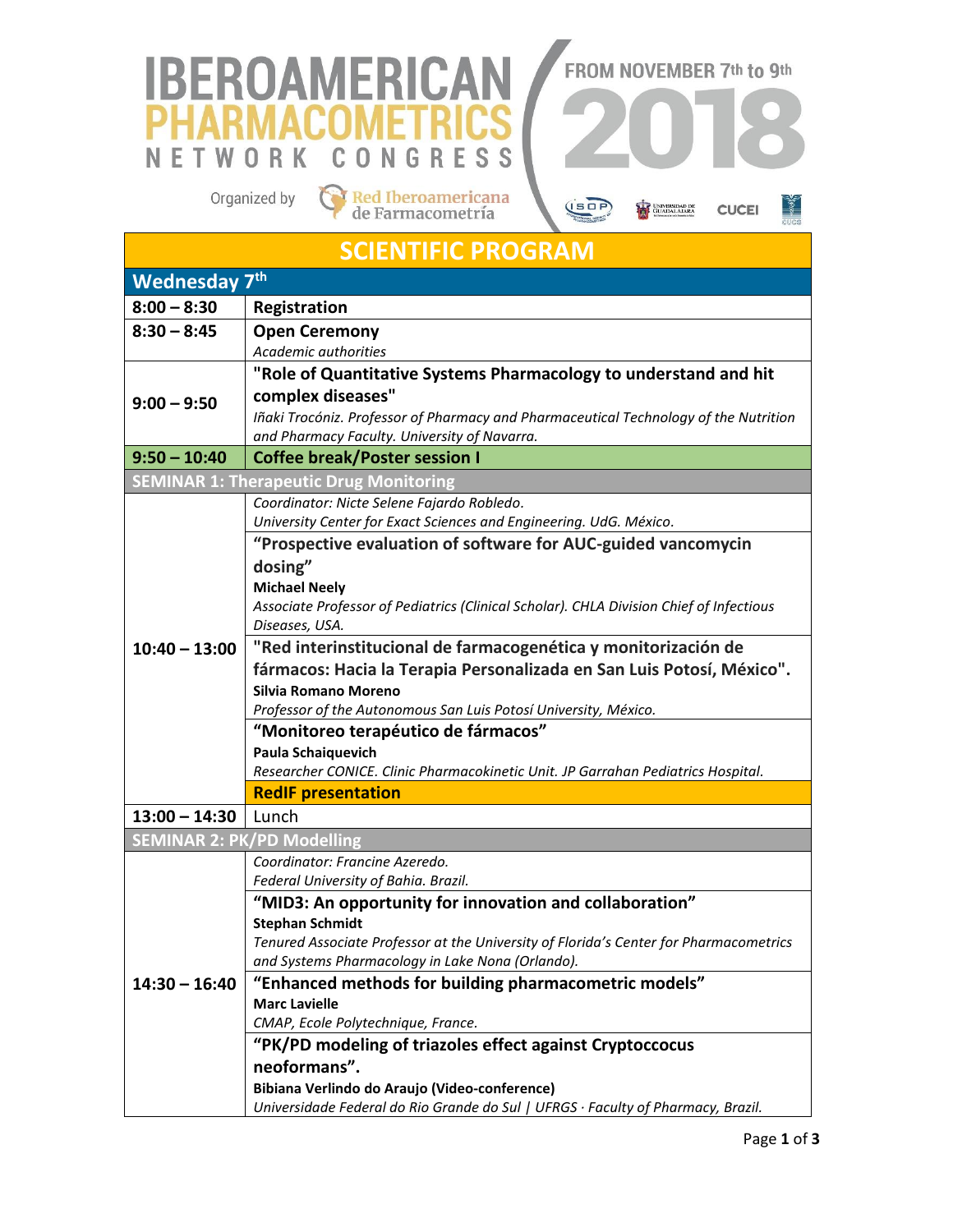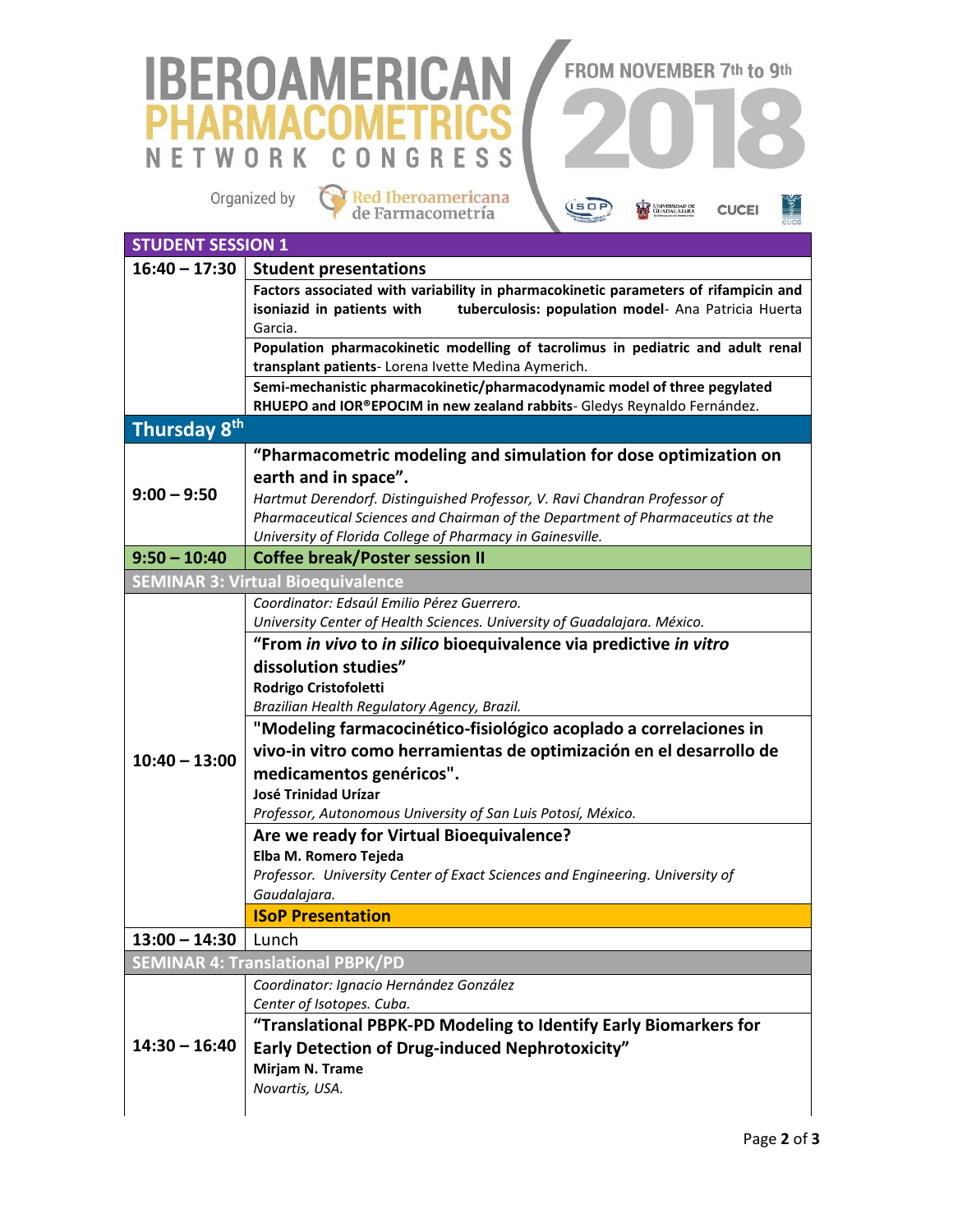